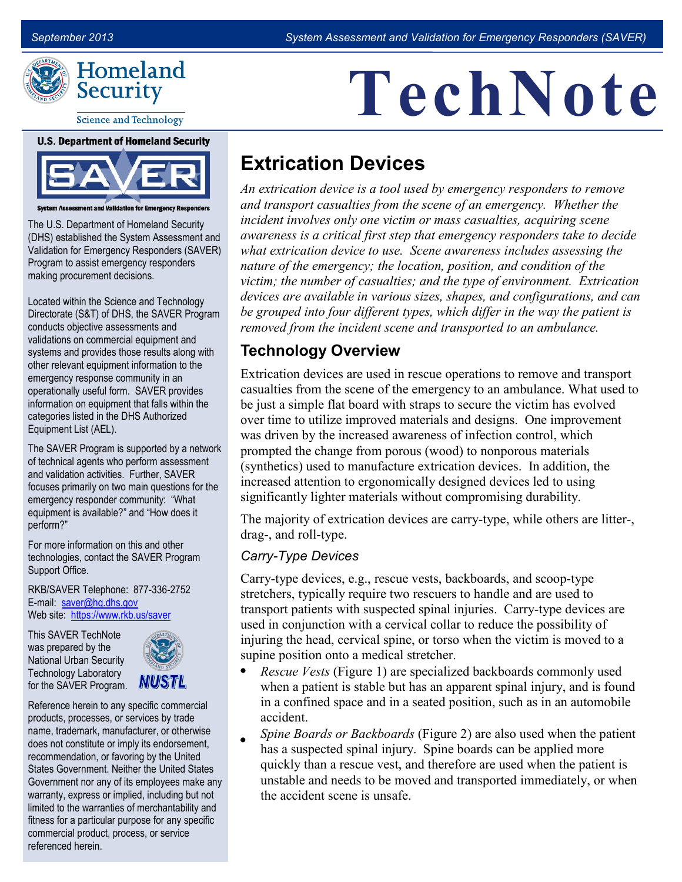**TechNote**



**Science and Technology** 

#### **U.S. Department of Homeland Security**



System Assessment and Validation for Emergency Responders

 The U.S. Department of Homeland Security (DHS) established the System Assessment and Validation for Emergency Responders (SAVER) Program to assist emergency responders making procurement decisions.

 Directorate (S&T) of DHS, the SAVER Program validations on commercial equipment and systems and provides those results along with other relevant equipment information to the operationally useful form. SAVER provides information on equipment that falls within the Equipment List (AEL). Located within the Science and Technology conducts objective assessments and emergency response community in an categories listed in the DHS Authorized

 The SAVER Program is supported by a network of technical agents who perform assessment and validation activities. Further, SAVER focuses primarily on two main questions for the emergency responder community: "What equipment is available?" and "How does it perform?"

 For more information on this and other technologies, contact the SAVER Program Support Office.

 RKB/SAVER Telephone: 877-336-2752 E-mail: saver@hq.dhs.gov Web site: <https://www.rkb.us/saver>

 This SAVER TechNote was prepared by the for the SAVER Program. National Urban Security Technology Laboratory



 Reference herein to any specific commercial products, processes, or services by trade name, trademark, manufacturer, or otherwise does not constitute or imply its endorsement, recommendation, or favoring by the United States Government. Neither the United States Government nor any of its employees make any warranty, express or implied, including but not limited to the warranties of merchantability and fitness for a particular purpose for any specific commercial product, process, or service referenced herein.

# **Extrication Devices**

 *An extrication device is a tool used by emergency responders to remove incident involves only one victim or mass casualties, acquiring scene nature of the emergency; the location, position, and condition of the and transport casualties from the scene of an emergency. Whether the awareness is a critical first step that emergency responders take to decide what extrication device to use. Scene awareness includes assessing the victim; the number of casualties; and the type of environment. Extrication devices are available in various sizes, shapes, and configurations, and can be grouped into four different types, which differ in the way the patient is removed from the incident scene and transported to an ambulance.* 

### **Technology Overview**

 casualties from the scene of the emergency to an ambulance. What used to be just a simple flat board with straps to secure the victim has evolved over time to utilize improved materials and designs. One improvement was driven by the increased awareness of infection control, which significantly lighter materials without compromising durability. Extrication devices are used in rescue operations to remove and transport prompted the change from porous (wood) to nonporous materials (synthetics) used to manufacture extrication devices. In addition, the increased attention to ergonomically designed devices led to using

 The majority of extrication devices are carry-type, while others are litter-, drag-, and roll-type.

#### *Carry-Type Devices*

 transport patients with suspected spinal injuries. Carry-type devices are used in conjunction with a cervical collar to reduce the possibility of Carry-type devices, e.g., rescue vests, backboards, and scoop-type stretchers, typically require two rescuers to handle and are used to injuring the head, cervical spine, or torso when the victim is moved to a supine position onto a medical stretcher.

- *Rescue Vests* (Figure 1) are specialized backboards commonly used when a patient is stable but has an apparent spinal injury, and is found in a confined space and in a seated position, such as in an automobile accident.
- *Spine Boards or Backboards* (Figure 2) are also used when the patient has a suspected spinal injury. Spine boards can be applied more quickly than a rescue vest, and therefore are used when the patient is unstable and needs to be moved and transported immediately, or when the accident scene is unsafe.